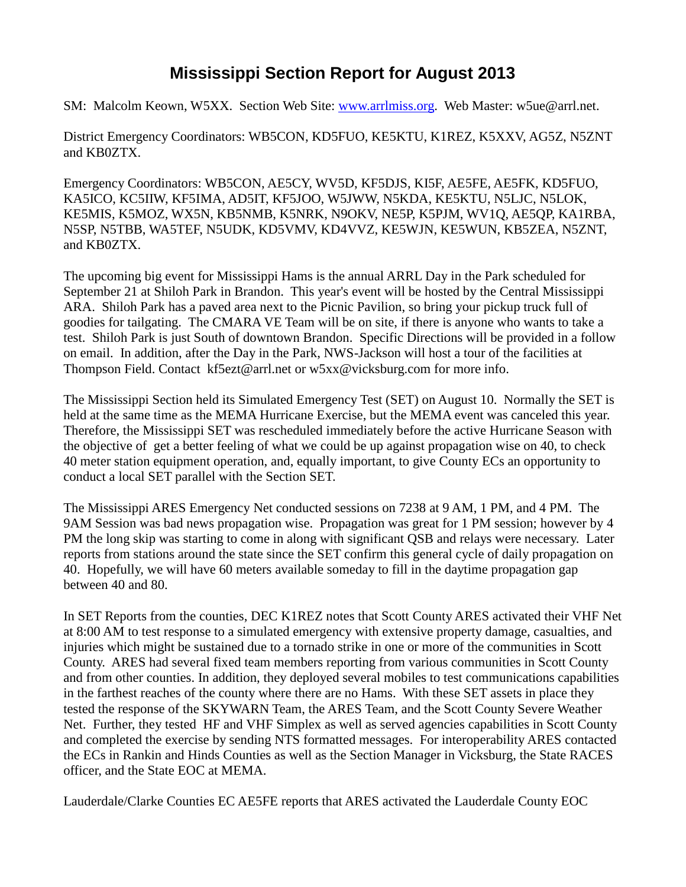## **Mississippi Section Report for August 2013**

SM: Malcolm Keown, W5XX. Section Web Site: [www.arrlmiss.org.](http://www.arrlmiss.org/) Web Master: w5ue@arrl.net.

District Emergency Coordinators: WB5CON, KD5FUO, KE5KTU, K1REZ, K5XXV, AG5Z, N5ZNT and KB0ZTX.

Emergency Coordinators: WB5CON, AE5CY, WV5D, KF5DJS, KI5F, AE5FE, AE5FK, KD5FUO, KA5ICO, KC5IIW, KF5IMA, AD5IT, KF5JOO, W5JWW, N5KDA, KE5KTU, N5LJC, N5LOK, KE5MIS, K5MOZ, WX5N, KB5NMB, K5NRK, N9OKV, NE5P, K5PJM, WV1Q, AE5QP, KA1RBA, N5SP, N5TBB, WA5TEF, N5UDK, KD5VMV, KD4VVZ, KE5WJN, KE5WUN, KB5ZEA, N5ZNT, and KB0ZTX.

The upcoming big event for Mississippi Hams is the annual ARRL Day in the Park scheduled for September 21 at Shiloh Park in Brandon. This year's event will be hosted by the Central Mississippi ARA. Shiloh Park has a paved area next to the Picnic Pavilion, so bring your pickup truck full of goodies for tailgating. The CMARA VE Team will be on site, if there is anyone who wants to take a test. Shiloh Park is just South of downtown Brandon. Specific Directions will be provided in a follow on email. In addition, after the Day in the Park, NWS-Jackson will host a tour of the facilities at Thompson Field. Contact [kf5ezt@arrl.net](mailto:kf5ezt@arrl.net) or [w5xx@vicksburg.com](mailto:w5xx@vicksburg.com) for more info.

The Mississippi Section held its Simulated Emergency Test (SET) on August 10. Normally the SET is held at the same time as the MEMA Hurricane Exercise, but the MEMA event was canceled this year. Therefore, the Mississippi SET was rescheduled immediately before the active Hurricane Season with the objective of get a better feeling of what we could be up against propagation wise on 40, to check 40 meter station equipment operation, and, equally important, to give County ECs an opportunity to conduct a local SET parallel with the Section SET.

The Mississippi ARES Emergency Net conducted sessions on 7238 at 9 AM, 1 PM, and 4 PM. The 9AM Session was bad news propagation wise. Propagation was great for 1 PM session; however by 4 PM the long skip was starting to come in along with significant QSB and relays were necessary. Later reports from stations around the state since the SET confirm this general cycle of daily propagation on 40. Hopefully, we will have 60 meters available someday to fill in the daytime propagation gap between 40 and 80.

In SET Reports from the counties, DEC K1REZ notes that Scott County ARES activated their VHF Net at 8:00 AM to test response to a simulated emergency with extensive property damage, casualties, and injuries which might be sustained due to a tornado strike in one or more of the communities in Scott County. ARES had several fixed team members reporting from various communities in Scott County and from other counties. In addition, they deployed several mobiles to test communications capabilities in the farthest reaches of the county where there are no Hams. With these SET assets in place they tested the response of the SKYWARN Team, the ARES Team, and the Scott County Severe Weather Net. Further, they tested HF and VHF Simplex as well as served agencies capabilities in Scott County and completed the exercise by sending NTS formatted messages. For interoperability ARES contacted the ECs in Rankin and Hinds Counties as well as the Section Manager in Vicksburg, the State RACES officer, and the State EOC at MEMA.

Lauderdale/Clarke Counties EC AE5FE reports that ARES activated the Lauderdale County EOC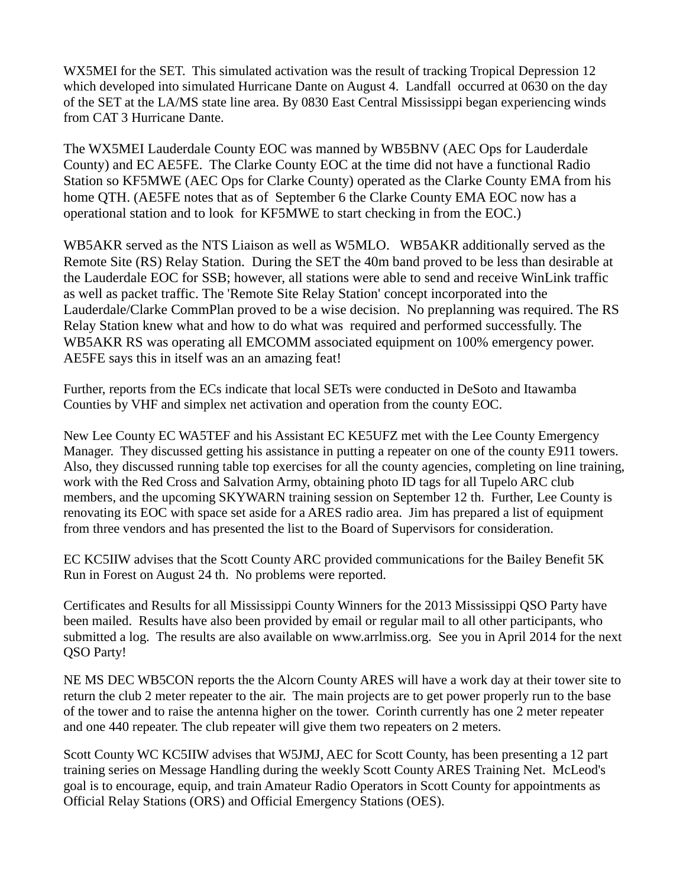WX5MEI for the SET. This simulated activation was the result of tracking Tropical Depression 12 which developed into simulated Hurricane Dante on August 4. Landfall occurred at 0630 on the day of the SET at the LA/MS state line area. By 0830 East Central Mississippi began experiencing winds from CAT 3 Hurricane Dante.

The WX5MEI Lauderdale County EOC was manned by WB5BNV (AEC Ops for Lauderdale County) and EC AE5FE. The Clarke County EOC at the time did not have a functional Radio Station so KF5MWE (AEC Ops for Clarke County) operated as the Clarke County EMA from his home QTH. (AE5FE notes that as of September 6 the Clarke County EMA EOC now has a operational station and to look for KF5MWE to start checking in from the EOC.)

WB5AKR served as the NTS Liaison as well as W5MLO. WB5AKR additionally served as the Remote Site (RS) Relay Station. During the SET the 40m band proved to be less than desirable at the Lauderdale EOC for SSB; however, all stations were able to send and receive WinLink traffic as well as packet traffic. The 'Remote Site Relay Station' concept incorporated into the Lauderdale/Clarke CommPlan proved to be a wise decision. No preplanning was required. The RS Relay Station knew what and how to do what was required and performed successfully. The WB5AKR RS was operating all EMCOMM associated equipment on 100% emergency power. AE5FE says this in itself was an an amazing feat!

Further, reports from the ECs indicate that local SETs were conducted in DeSoto and Itawamba Counties by VHF and simplex net activation and operation from the county EOC.

New Lee County EC WA5TEF and his Assistant EC KE5UFZ met with the Lee County Emergency Manager. They discussed getting his assistance in putting a repeater on one of the county E911 towers. Also, they discussed running table top exercises for all the county agencies, completing on line training, work with the Red Cross and Salvation Army, obtaining photo ID tags for all Tupelo ARC club members, and the upcoming SKYWARN training session on September 12 th. Further, Lee County is renovating its EOC with space set aside for a ARES radio area. Jim has prepared a list of equipment from three vendors and has presented the list to the Board of Supervisors for consideration.

EC KC5IIW advises that the Scott County ARC provided communications for the Bailey Benefit 5K Run in Forest on August 24 th. No problems were reported.

Certificates and Results for all Mississippi County Winners for the 2013 Mississippi QSO Party have been mailed. Results have also been provided by email or regular mail to all other participants, who submitted a log. The results are also available on [www.arrlmiss.org.](http://www.arrlmiss.org/) See you in April 2014 for the next QSO Party!

NE MS DEC WB5CON reports the the Alcorn County ARES will have a work day at their tower site to return the club 2 meter repeater to the air. The main projects are to get power properly run to the base of the tower and to raise the antenna higher on the tower. Corinth currently has one 2 meter repeater and one 440 repeater. The club repeater will give them two repeaters on 2 meters.

Scott County WC KC5IIW advises that W5JMJ, AEC for Scott County, has been presenting a 12 part training series on Message Handling during the weekly Scott County ARES Training Net. McLeod's goal is to encourage, equip, and train Amateur Radio Operators in Scott County for appointments as Official Relay Stations (ORS) and Official Emergency Stations (OES).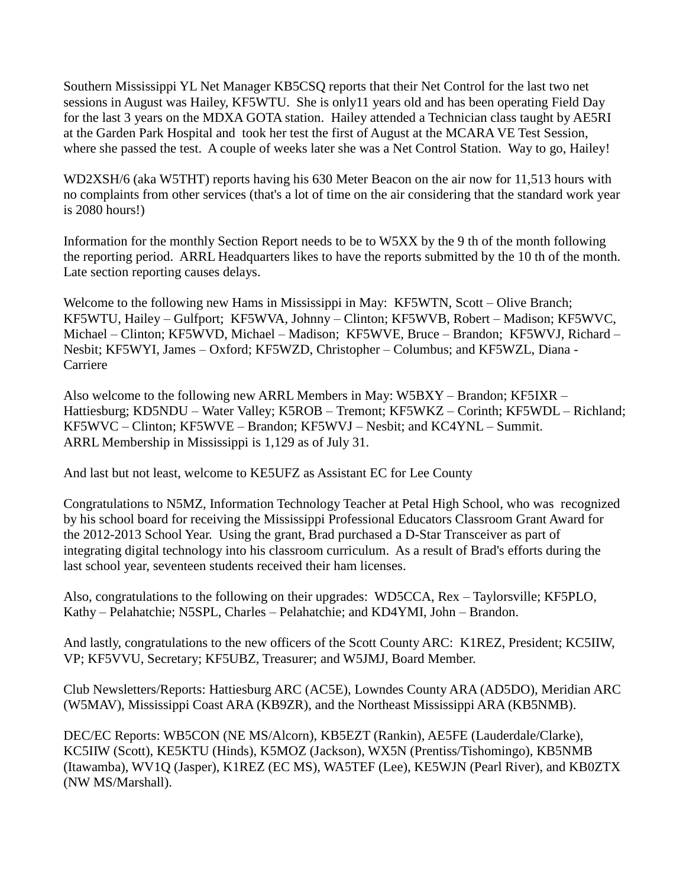Southern Mississippi YL Net Manager KB5CSQ reports that their Net Control for the last two net sessions in August was Hailey, KF5WTU. She is only11 years old and has been operating Field Day for the last 3 years on the MDXA GOTA station. Hailey attended a Technician class taught by AE5RI at the Garden Park Hospital and took her test the first of August at the MCARA VE Test Session, where she passed the test. A couple of weeks later she was a Net Control Station. Way to go, Hailey!

WD2XSH/6 (aka W5THT) reports having his 630 Meter Beacon on the air now for 11,513 hours with no complaints from other services (that's a lot of time on the air considering that the standard work year is 2080 hours!)

Information for the monthly Section Report needs to be to W5XX by the 9 th of the month following the reporting period. ARRL Headquarters likes to have the reports submitted by the 10 th of the month. Late section reporting causes delays.

Welcome to the following new Hams in Mississippi in May: KF5WTN, Scott – Olive Branch; KF5WTU, Hailey – Gulfport; KF5WVA, Johnny – Clinton; KF5WVB, Robert – Madison; KF5WVC, Michael – Clinton; KF5WVD, Michael – Madison; KF5WVE, Bruce – Brandon; KF5WVJ, Richard – Nesbit; KF5WYI, James – Oxford; KF5WZD, Christopher – Columbus; and KF5WZL, Diana - Carriere

Also welcome to the following new ARRL Members in May: W5BXY – Brandon; KF5IXR – Hattiesburg; KD5NDU – Water Valley; K5ROB – Tremont; KF5WKZ – Corinth; KF5WDL – Richland; KF5WVC – Clinton; KF5WVE – Brandon; KF5WVJ – Nesbit; and KC4YNL – Summit. ARRL Membership in Mississippi is 1,129 as of July 31.

And last but not least, welcome to KE5UFZ as Assistant EC for Lee County

Congratulations to N5MZ, Information Technology Teacher at Petal High School, who was recognized by his school board for receiving the Mississippi Professional Educators Classroom Grant Award for the 2012-2013 School Year. Using the grant, Brad purchased a D-Star Transceiver as part of integrating digital technology into his classroom curriculum. As a result of Brad's efforts during the last school year, seventeen students received their ham licenses.

Also, congratulations to the following on their upgrades: WD5CCA, Rex – Taylorsville; KF5PLO, Kathy – Pelahatchie; N5SPL, Charles – Pelahatchie; and KD4YMI, John – Brandon.

And lastly, congratulations to the new officers of the Scott County ARC: K1REZ, President; KC5IIW, VP; KF5VVU, Secretary; KF5UBZ, Treasurer; and W5JMJ, Board Member.

Club Newsletters/Reports: Hattiesburg ARC (AC5E), Lowndes County ARA (AD5DO), Meridian ARC (W5MAV), Mississippi Coast ARA (KB9ZR), and the Northeast Mississippi ARA (KB5NMB).

DEC/EC Reports: WB5CON (NE MS/Alcorn), KB5EZT (Rankin), AE5FE (Lauderdale/Clarke), KC5IIW (Scott), KE5KTU (Hinds), K5MOZ (Jackson), WX5N (Prentiss/Tishomingo), KB5NMB (Itawamba), WV1Q (Jasper), K1REZ (EC MS), WA5TEF (Lee), KE5WJN (Pearl River), and KB0ZTX (NW MS/Marshall).